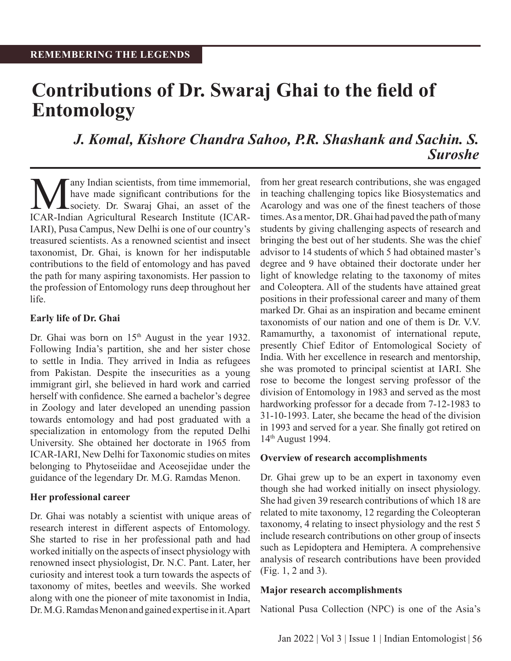# **Contributions of Dr. Swaraj Ghai to the field of Entomology**

## *J. Komal, Kishore Chandra Sahoo, P.R. Shashank and Sachin. S. Suroshe*

Many Indian scientists, from time immemorial,<br>have made significant contributions for the<br>ICAR-Indian Agricultural Research Institute (ICARhave made significant contributions for the society. Dr. Swaraj Ghai, an asset of the ICAR-Indian Agricultural Research Institute (ICAR-IARI), Pusa Campus, New Delhi is one of our country's treasured scientists. As a renowned scientist and insect taxonomist, Dr. Ghai, is known for her indisputable contributions to the field of entomology and has paved the path for many aspiring taxonomists. Her passion to the profession of Entomology runs deep throughout her life.

#### **Early life of Dr. Ghai**

Dr. Ghai was born on 15<sup>th</sup> August in the year 1932. Following India's partition, she and her sister chose to settle in India. They arrived in India as refugees from Pakistan. Despite the insecurities as a young immigrant girl, she believed in hard work and carried herself with confidence. She earned a bachelor's degree in Zoology and later developed an unending passion towards entomology and had post graduated with a specialization in entomology from the reputed Delhi University. She obtained her doctorate in 1965 from ICAR-IARI, New Delhi for Taxonomic studies on mites belonging to Phytoseiidae and Aceosejidae under the guidance of the legendary Dr. M.G. Ramdas Menon.

#### **Her professional career**

Dr. Ghai was notably a scientist with unique areas of research interest in different aspects of Entomology. She started to rise in her professional path and had worked initially on the aspects of insect physiology with renowned insect physiologist, Dr. N.C. Pant. Later, her curiosity and interest took a turn towards the aspects of taxonomy of mites, beetles and weevils. She worked along with one the pioneer of mite taxonomist in India, Dr. M.G. Ramdas Menon and gained expertise in it. Apart from her great research contributions, she was engaged in teaching challenging topics like Biosystematics and Acarology and was one of the finest teachers of those times. As a mentor, DR. Ghai had paved the path of many students by giving challenging aspects of research and bringing the best out of her students. She was the chief advisor to 14 students of which 5 had obtained master's degree and 9 have obtained their doctorate under her light of knowledge relating to the taxonomy of mites and Coleoptera. All of the students have attained great positions in their professional career and many of them marked Dr. Ghai as an inspiration and became eminent taxonomists of our nation and one of them is Dr. V.V. Ramamurthy, a taxonomist of international repute, presently Chief Editor of Entomological Society of India. With her excellence in research and mentorship, she was promoted to principal scientist at IARI. She rose to become the longest serving professor of the division of Entomology in 1983 and served as the most hardworking professor for a decade from 7-12-1983 to 31-10-1993. Later, she became the head of the division in 1993 and served for a year. She finally got retired on 14th August 1994.

#### **Overview of research accomplishments**

Dr. Ghai grew up to be an expert in taxonomy even though she had worked initially on insect physiology. She had given 39 research contributions of which 18 are related to mite taxonomy, 12 regarding the Coleopteran taxonomy, 4 relating to insect physiology and the rest 5 include research contributions on other group of insects such as Lepidoptera and Hemiptera. A comprehensive analysis of research contributions have been provided (Fig. 1, 2 and 3).

#### **Major research accomplishments**

National Pusa Collection (NPC) is one of the Asia's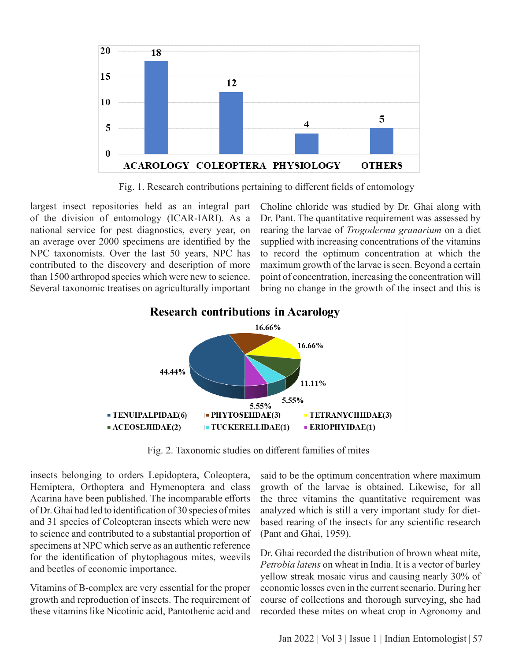

Fig. 1. Research contributions pertaining to different fields of entomology

largest insect repositories held as an integral part of the division of entomology (ICAR-IARI). As a national service for pest diagnostics, every year, on an average over 2000 specimens are identified by the NPC taxonomists. Over the last 50 years, NPC has contributed to the discovery and description of more than 1500 arthropod species which were new to science. Several taxonomic treatises on agriculturally important Choline chloride was studied by Dr. Ghai along with Dr. Pant. The quantitative requirement was assessed by rearing the larvae of *Trogoderma granarium* on a diet supplied with increasing concentrations of the vitamins to record the optimum concentration at which the maximum growth of the larvae is seen. Beyond a certain point of concentration, increasing the concentration will bring no change in the growth of the insect and this is



**Research contributions in Acarology** 

Fig. 2. Taxonomic studies on different families of mites

insects belonging to orders Lepidoptera, Coleoptera, Hemiptera, Orthoptera and Hymenoptera and class Acarina have been published. The incomparable efforts of Dr. Ghai had led to identification of 30 species of mites and 31 species of Coleopteran insects which were new to science and contributed to a substantial proportion of specimens at NPC which serve as an authentic reference for the identification of phytophagous mites, weevils and beetles of economic importance.

Vitamins of B-complex are very essential for the proper growth and reproduction of insects. The requirement of these vitamins like Nicotinic acid, Pantothenic acid and

said to be the optimum concentration where maximum growth of the larvae is obtained. Likewise, for all the three vitamins the quantitative requirement was analyzed which is still a very important study for dietbased rearing of the insects for any scientific research (Pant and Ghai, 1959).

Dr. Ghai recorded the distribution of brown wheat mite, *Petrobia latens* on wheat in India. It is a vector of barley yellow streak mosaic virus and causing nearly 30% of economic losses even in the current scenario. During her course of collections and thorough surveying, she had recorded these mites on wheat crop in Agronomy and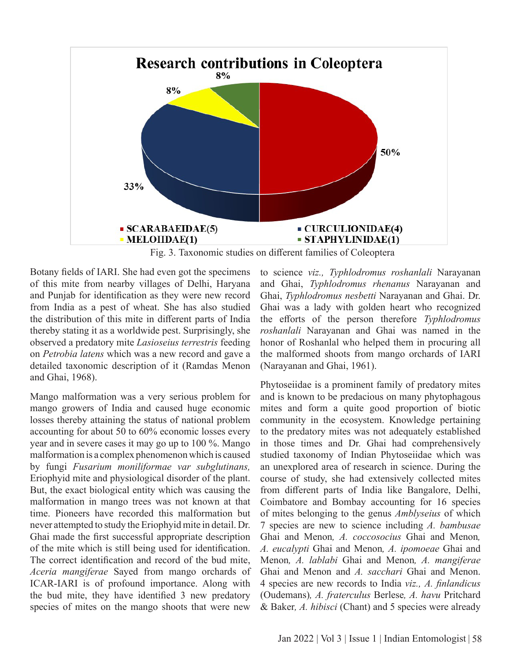

Fig. 3. Taxonomic studies on different families of Coleoptera

Botany fields of IARI. She had even got the specimens of this mite from nearby villages of Delhi, Haryana and Punjab for identification as they were new record from India as a pest of wheat. She has also studied the distribution of this mite in different parts of India thereby stating it as a worldwide pest. Surprisingly, she observed a predatory mite *Lasioseius terrestris* feeding on *Petrobia latens* which was a new record and gave a detailed taxonomic description of it (Ramdas Menon and Ghai, 1968).

Mango malformation was a very serious problem for mango growers of India and caused huge economic losses thereby attaining the status of national problem accounting for about 50 to 60% economic losses every year and in severe cases it may go up to 100 %. Mango malformation is a complex phenomenon which is caused by fungi *Fusarium moniliformae var subglutinans,*  Eriophyid mite and physiological disorder of the plant. But, the exact biological entity which was causing the malformation in mango trees was not known at that time. Pioneers have recorded this malformation but never attempted to study the Eriophyid mite in detail. Dr. Ghai made the first successful appropriate description of the mite which is still being used for identification. The correct identification and record of the bud mite, *Aceria mangiferae* Sayed from mango orchards of ICAR-IARI is of profound importance. Along with the bud mite, they have identified 3 new predatory species of mites on the mango shoots that were new

to science *viz., Typhlodromus roshanlali* Narayanan and Ghai, *Typhlodromus rhenanus* Narayanan and Ghai, *Typhlodromus nesbetti* Narayanan and Ghai. Dr. Ghai was a lady with golden heart who recognized the efforts of the person therefore *Typhlodromus roshanlali* Narayanan and Ghai was named in the honor of Roshanlal who helped them in procuring all the malformed shoots from mango orchards of IARI (Narayanan and Ghai, 1961).

Phytoseiidae is a prominent family of predatory mites and is known to be predacious on many phytophagous mites and form a quite good proportion of biotic community in the ecosystem. Knowledge pertaining to the predatory mites was not adequately established in those times and Dr. Ghai had comprehensively studied taxonomy of Indian Phytoseiidae which was an unexplored area of research in science. During the course of study, she had extensively collected mites from different parts of India like Bangalore, Delhi, Coimbatore and Bombay accounting for 16 species of mites belonging to the genus *Amblyseius* of which 7 species are new to science including *A. bambusae* Ghai and Menon*, A. coccosocius* Ghai and Menon*, A. eucalypti* Ghai and Menon*, A. ipomoeae* Ghai and Menon*, A. lablabi* Ghai and Menon*, A. mangiferae* Ghai and Menon and *A. sacchari* Ghai and Menon. 4 species are new records to India *viz., A. finlandicus* (Oudemans)*, A. fraterculus* Berlese*, A. havu* Pritchard & Baker*, A. hibisci* (Chant) and 5 species were already